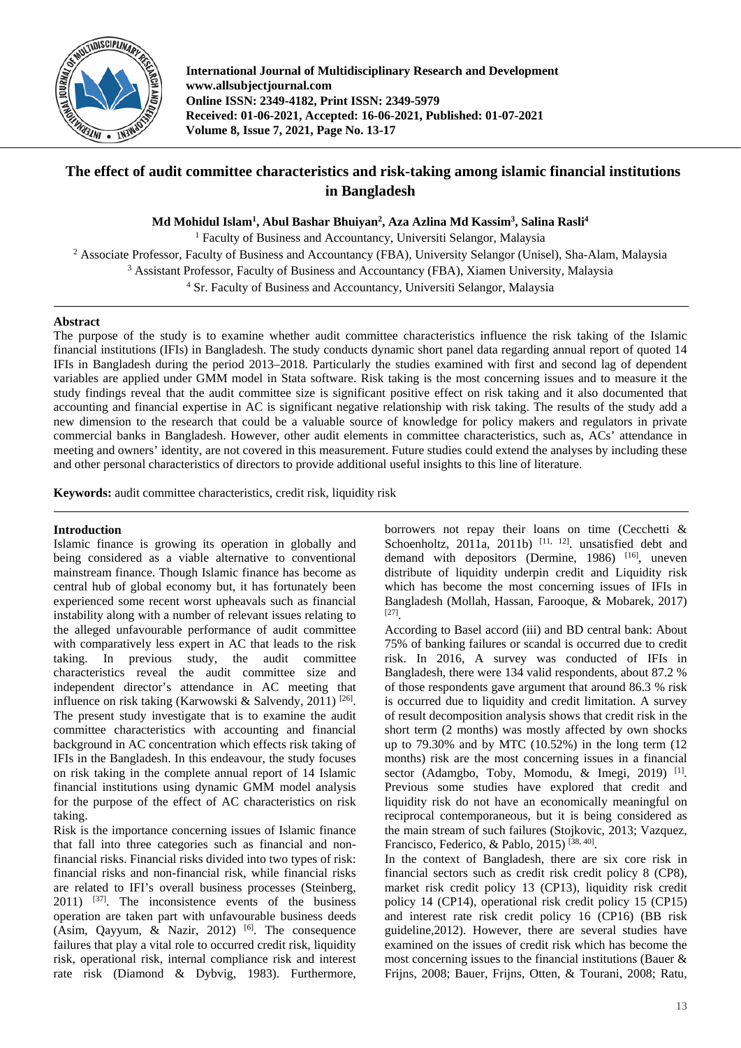

**International Journal of Multidisciplinary Research and Development www.allsubjectjournal.com Online ISSN: 2349-4182, Print ISSN: 2349-5979 Received: 01-06-2021, Accepted: 16-06-2021, Published: 01-07-2021 Volume 8, Issue 7, 2021, Page No. 13-17**

# **The effect of audit committee characteristics and risk-taking among islamic financial institutions in Bangladesh**

**Md Mohidul Islam1 , Abul Bashar Bhuiyan2 , Aza Azlina Md Kassim3 , Salina Rasli4**

<sup>1</sup> Faculty of Business and Accountancy, Universiti Selangor, Malaysia

<sup>2</sup> Associate Professor, Faculty of Business and Accountancy (FBA), University Selangor (Unisel), Sha-Alam, Malaysia

<sup>3</sup> Assistant Professor, Faculty of Business and Accountancy (FBA), Xiamen University, Malaysia

<sup>4</sup> Sr. Faculty of Business and Accountancy, Universiti Selangor, Malaysia

# **Abstract**

The purpose of the study is to examine whether audit committee characteristics influence the risk taking of the Islamic financial institutions (IFIs) in Bangladesh. The study conducts dynamic short panel data regarding annual report of quoted 14 IFIs in Bangladesh during the period 2013–2018. Particularly the studies examined with first and second lag of dependent variables are applied under GMM model in Stata software. Risk taking is the most concerning issues and to measure it the study findings reveal that the audit committee size is significant positive effect on risk taking and it also documented that accounting and financial expertise in AC is significant negative relationship with risk taking. The results of the study add a new dimension to the research that could be a valuable source of knowledge for policy makers and regulators in private commercial banks in Bangladesh. However, other audit elements in committee characteristics, such as, ACs' attendance in meeting and owners' identity, are not covered in this measurement. Future studies could extend the analyses by including these and other personal characteristics of directors to provide additional useful insights to this line of literature.

**Keywords:** audit committee characteristics, credit risk, liquidity risk

# **Introduction**

Islamic finance is growing its operation in globally and being considered as a viable alternative to conventional mainstream finance. Though Islamic finance has become as central hub of global economy but, it has fortunately been experienced some recent worst upheavals such as financial instability along with a number of relevant issues relating to the alleged unfavourable performance of audit committee with comparatively less expert in AC that leads to the risk taking. In previous study, the audit committee characteristics reveal the audit committee size and independent director's attendance in AC meeting that influence on risk taking (Karwowski & Salvendy, 2011)<sup>[26]</sup>. The present study investigate that is to examine the audit committee characteristics with accounting and financial background in AC concentration which effects risk taking of IFIs in the Bangladesh. In this endeavour, the study focuses on risk taking in the complete annual report of 14 Islamic financial institutions using dynamic GMM model analysis for the purpose of the effect of AC characteristics on risk taking.

Risk is the importance concerning issues of Islamic finance that fall into three categories such as financial and nonfinancial risks. Financial risks divided into two types of risk: financial risks and non-financial risk, while financial risks are related to IFI's overall business processes (Steinberg,  $2011$ )  $^{[37]}$ . The inconsistence events of the business operation are taken part with unfavourable business deeds (Asim, Qayyum, & Nazir, 2012)<sup>[6]</sup>. The consequence failures that play a vital role to occurred credit risk, liquidity risk, operational risk, internal compliance risk and interest rate risk (Diamond & Dybvig, 1983). Furthermore,

borrowers not repay their loans on time (Cecchetti & Schoenholtz, 2011a, 2011b)  $[11, 12]$  unsatisfied debt and demand with depositors (Dermine, 1986) [16], uneven distribute of liquidity underpin credit and Liquidity risk which has become the most concerning issues of IFIs in Bangladesh (Mollah, Hassan, Farooque, & Mobarek, 2017) [27] .

According to Basel accord (iii) and BD central bank: About 75% of banking failures or scandal is occurred due to credit risk. In 2016, A survey was conducted of IFIs in Bangladesh, there were 134 valid respondents, about 87.2 % of those respondents gave argument that around 86.3 % risk is occurred due to liquidity and credit limitation. A survey of result decomposition analysis shows that credit risk in the short term (2 months) was mostly affected by own shocks up to  $79.30\%$  and by MTC  $(10.52\%)$  in the long term  $(12)$ months) risk are the most concerning issues in a financial sector (Adamgbo, Toby, Momodu, & Imegi, 2019)<sup>[1]</sup>. Previous some studies have explored that credit and liquidity risk do not have an economically meaningful on reciprocal contemporaneous, but it is being considered as the main stream of such failures (Stojkovic, 2013; Vazquez, Francisco, Federico, & Pablo, 2015)<sup>[38, 40]</sup>.

In the context of Bangladesh, there are six core risk in financial sectors such as credit risk credit policy 8 (CP8), market risk credit policy 13 (CP13), liquidity risk credit policy 14 (CP14), operational risk credit policy 15 (CP15) and interest rate risk credit policy 16 (CP16) (BB risk guideline,2012). However, there are several studies have examined on the issues of credit risk which has become the most concerning issues to the financial institutions (Bauer & Frijns, 2008; Bauer, Frijns, Otten, & Tourani, 2008; Ratu,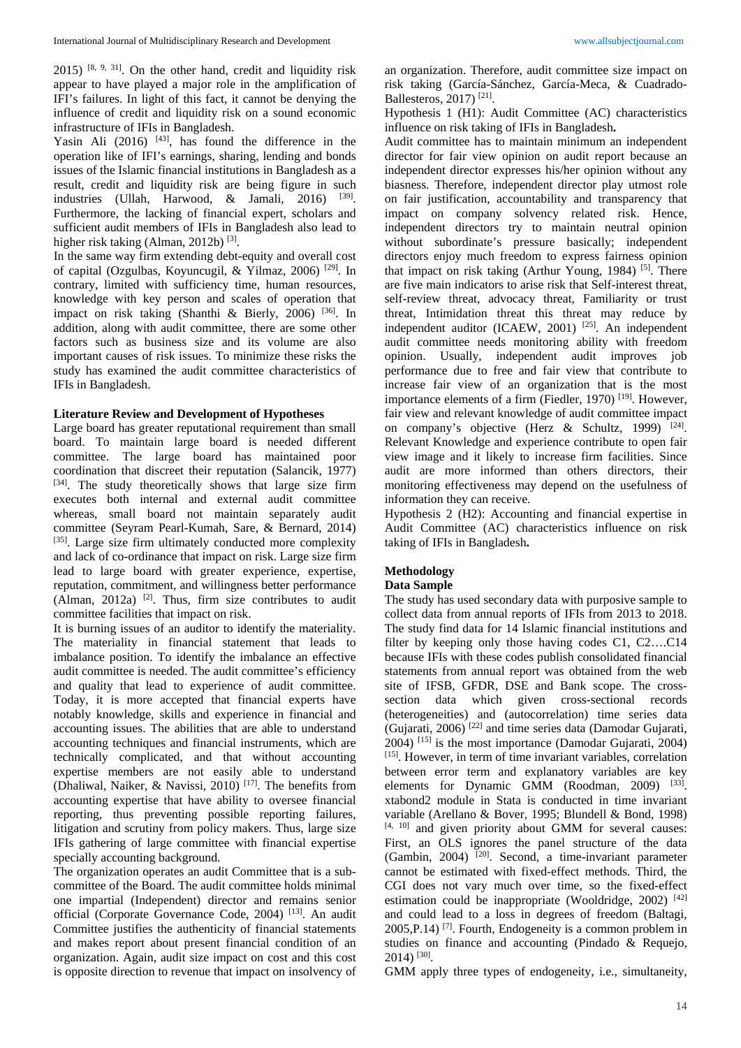$2015$ ) <sup>[8, 9, 31]</sup>. On the other hand, credit and liquidity risk appear to have played a major role in the amplification of IFI's failures. In light of this fact, it cannot be denying the influence of credit and liquidity risk on a sound economic infrastructure of IFIs in Bangladesh.

Yasin Ali  $(2016)$  <sup>[43]</sup>, has found the difference in the operation like of IFI's earnings, sharing, lending and bonds issues of the Islamic financial institutions in Bangladesh as a result, credit and liquidity risk are being figure in such industries (Ullah, Harwood, & Jamali, 2016) <sup>[39]</sup>. Furthermore, the lacking of financial expert, scholars and sufficient audit members of IFIs in Bangladesh also lead to higher risk taking (Alman, 2012b)<sup>[3]</sup>.

In the same way firm extending debt-equity and overall cost of capital (Ozgulbas, Koyuncugil, & Yilmaz, 2006)<sup>[29]</sup>. In contrary, limited with sufficiency time, human resources, knowledge with key person and scales of operation that impact on risk taking (Shanthi & Bierly, 2006)<sup>[36]</sup>. In addition, along with audit committee, there are some other factors such as business size and its volume are also important causes of risk issues. To minimize these risks the study has examined the audit committee characteristics of IFIs in Bangladesh.

## **Literature Review and Development of Hypotheses**

Large board has greater reputational requirement than small board. To maintain large board is needed different committee. The large board has maintained poor coordination that discreet their reputation (Salancik, 1977) [34]. The study theoretically shows that large size firm executes both internal and external audit committee whereas, small board not maintain separately audit committee (Seyram Pearl-Kumah, Sare, & Bernard, 2014) [35]. Large size firm ultimately conducted more complexity and lack of co-ordinance that impact on risk. Large size firm lead to large board with greater experience, expertise, reputation, commitment, and willingness better performance  $(Alman, 2012a)$ <sup>[2]</sup>. Thus, firm size contributes to audit committee facilities that impact on risk.

It is burning issues of an auditor to identify the materiality. The materiality in financial statement that leads to imbalance position. To identify the imbalance an effective audit committee is needed. The audit committee's efficiency and quality that lead to experience of audit committee. Today, it is more accepted that financial experts have notably knowledge, skills and experience in financial and accounting issues. The abilities that are able to understand accounting techniques and financial instruments, which are technically complicated, and that without accounting expertise members are not easily able to understand (Dhaliwal, Naiker, & Navissi, 2010)<sup>[17]</sup>. The benefits from accounting expertise that have ability to oversee financial reporting, thus preventing possible reporting failures, litigation and scrutiny from policy makers. Thus, large size IFIs gathering of large committee with financial expertise specially accounting background.

The organization operates an audit Committee that is a subcommittee of the Board. The audit committee holds minimal one impartial (Independent) director and remains senior official (Corporate Governance Code, 2004)<sup>[13]</sup>. An audit Committee justifies the authenticity of financial statements and makes report about present financial condition of an organization. Again, audit size impact on cost and this cost is opposite direction to revenue that impact on insolvency of an organization. Therefore, audit committee size impact on risk taking (García-Sánchez, García-Meca, & Cuadrado-Ballesteros, 2017) [21] .

Hypothesis 1 (H1): Audit Committee (AC) characteristics influence on risk taking of IFIs in Bangladesh**.** 

Audit committee has to maintain minimum an independent director for fair view opinion on audit report because an independent director expresses his/her opinion without any biasness. Therefore, independent director play utmost role on fair justification, accountability and transparency that impact on company solvency related risk. Hence, independent directors try to maintain neutral opinion without subordinate's pressure basically; independent directors enjoy much freedom to express fairness opinion that impact on risk taking (Arthur Young, 1984)<sup>[5]</sup>. There are five main indicators to arise risk that Self-interest threat, self-review threat, advocacy threat, Familiarity or trust threat, Intimidation threat this threat may reduce by independent auditor (ICAEW, 2001)<sup>[25]</sup>. An independent audit committee needs monitoring ability with freedom opinion. Usually, independent audit improves job performance due to free and fair view that contribute to increase fair view of an organization that is the most importance elements of a firm (Fiedler, 1970)<sup>[19]</sup>. However, fair view and relevant knowledge of audit committee impact on company's objective (Herz & Schultz, 1999) <sup>[24]</sup>. Relevant Knowledge and experience contribute to open fair view image and it likely to increase firm facilities. Since audit are more informed than others directors, their monitoring effectiveness may depend on the usefulness of information they can receive.

Hypothesis 2 (H2): Accounting and financial expertise in Audit Committee (AC) characteristics influence on risk taking of IFIs in Bangladesh**.**

# **Methodology**

### **Data Sample**

The study has used secondary data with purposive sample to collect data from annual reports of IFIs from 2013 to 2018. The study find data for 14 Islamic financial institutions and filter by keeping only those having codes C1, C2….C14 because IFIs with these codes publish consolidated financial statements from annual report was obtained from the web site of IFSB, GFDR, DSE and Bank scope. The crosssection data which given cross-sectional records (heterogeneities) and (autocorrelation) time series data (Gujarati, 2006) [22] and time series data (Damodar Gujarati,  $2004$ ) <sup>[15]</sup> is the most importance (Damodar Gujarati, 2004) [15] . However, in term of time invariant variables, correlation between error term and explanatory variables are key elements for Dynamic GMM (Roodman, 2009) <sup>[33]</sup>. xtabond2 module in Stata is conducted in time invariant variable (Arellano & Bover, 1995; Blundell & Bond, 1998)  $[4, 10]$  and given priority about GMM for several causes: First, an OLS ignores the panel structure of the data (Gambin, 2004) <sup>[20]</sup>. Second, a time-invariant parameter cannot be estimated with fixed-effect methods. Third, the CGI does not vary much over time, so the fixed-effect estimation could be inappropriate (Wooldridge, 2002)<sup>[42]</sup> and could lead to a loss in degrees of freedom (Baltagi,  $2005, P.14$ )<sup>[7]</sup>. Fourth, Endogeneity is a common problem in studies on finance and accounting (Pindado & Requejo, 2014) [30] .

GMM apply three types of endogeneity, i.e., simultaneity,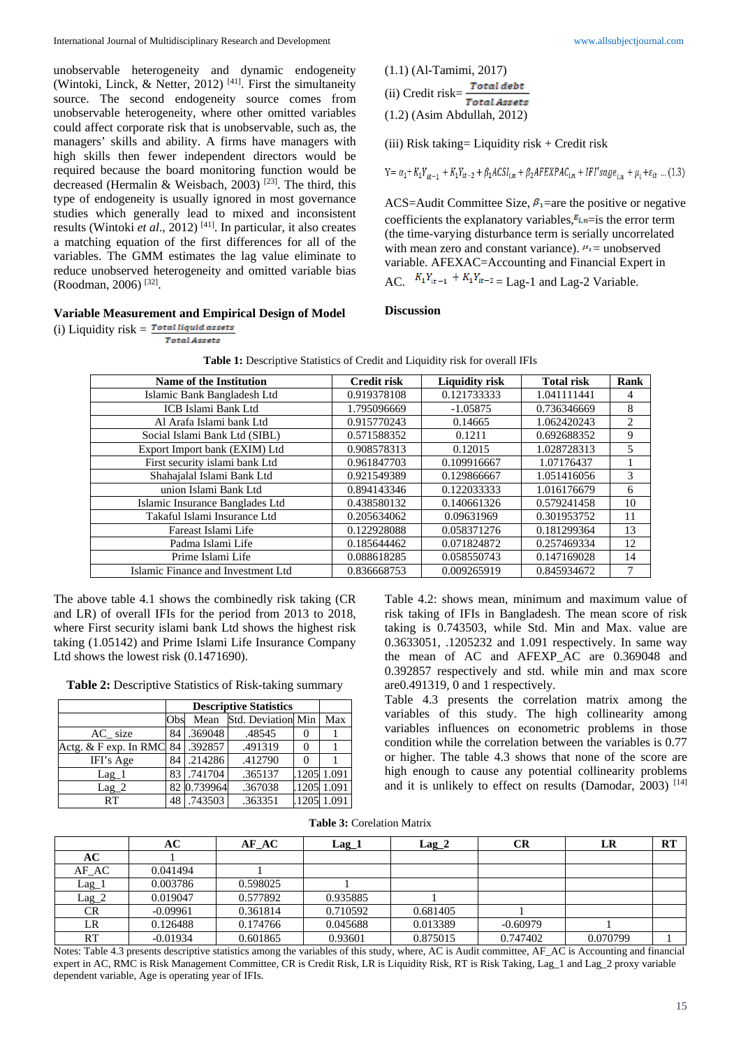unobservable heterogeneity and dynamic endogeneity (Wintoki, Linck, & Netter, 2012)<sup>[41]</sup>. First the simultaneity source. The second endogeneity source comes from unobservable heterogeneity, where other omitted variables could affect corporate risk that is unobservable, such as, the managers' skills and ability. A firms have managers with high skills then fewer independent directors would be required because the board monitoring function would be decreased (Hermalin & Weisbach, 2003)<sup>[23]</sup>. The third, this type of endogeneity is usually ignored in most governance studies which generally lead to mixed and inconsistent results (Wintoki *et al*., 2012) [41] . In particular, it also creates a matching equation of the first differences for all of the variables. The GMM estimates the lag value eliminate to reduce unobserved heterogeneity and omitted variable bias (Roodman, 2006) [32] .

#### **Variable Measurement and Empirical Design of Model**

(i) Liquidity  $risk = \frac{Total~ liquid~assets}{$ **Total Assets** 

(1.1) (Al-Tamimi, 2017) (ii) Credit risk= $\frac{Total debt}{Total Assets}$ (1.2) (Asim Abdullah, 2012)

(iii) Risk taking= Liquidity risk + Credit risk

$$
\mathbf{Y}\!=\alpha_1\!+\!K_1Y_{it-1}+K_1Y_{it-2}+\beta_1\mathit{ACSI}_{i,n}+\beta_2\mathit{AFEXPAC}_{i,n}+\mathit{IFI}'\mathit{sage}_{i,n}+\mu_i+\varepsilon_{it}\,\dots(1.3)
$$

ACS=Audit Committee Size,  $\beta_1$ =are the positive or negative coefficients the explanatory variables,  $\varepsilon_{i,n}$  = is the error term (the time-varying disturbance term is serially uncorrelated with mean zero and constant variance).  $\mu_i$  = unobserved variable. AFEXAC=Accounting and Financial Expert in AC.  $K_1 Y_{it-1} + K_1 Y_{it-2} =$  Lag-1 and Lag-2 Variable.

#### **Discussion**

| Name of the Institution            | <b>Credit risk</b> | <b>Liquidity risk</b> | <b>Total risk</b> | Rank |  |  |
|------------------------------------|--------------------|-----------------------|-------------------|------|--|--|
| Islamic Bank Bangladesh Ltd        | 0.919378108        | 0.121733333           | 1.041111441       | 4    |  |  |
| <b>ICB Islami Bank Ltd</b>         | 1.795096669        | $-1.05875$            | 0.736346669       | 8    |  |  |
| Al Arafa Islami bank Ltd           | 0.915770243        | 0.14665               | 1.062420243       | 2    |  |  |
| Social Islami Bank Ltd (SIBL)      | 0.571588352        | 0.1211                | 0.692688352       | 9    |  |  |
| Export Import bank (EXIM) Ltd      | 0.908578313        | 0.12015               | 1.028728313       | 5    |  |  |
| First security islami bank Ltd     | 0.961847703        | 0.109916667           | 1.07176437        |      |  |  |
| Shahajalal Islami Bank Ltd         | 0.921549389        | 0.129866667           | 1.051416056       | 3    |  |  |
| union Islami Bank Ltd              | 0.894143346        | 0.122033333           | 1.016176679       | 6    |  |  |
| Islamic Insurance Banglades Ltd    | 0.438580132        | 0.140661326           | 0.579241458       | 10   |  |  |
| Takaful Islami Insurance Ltd       | 0.205634062        | 0.09631969            | 0.301953752       | 11   |  |  |
| Fareast Islami Life                | 0.122928088        | 0.058371276           | 0.181299364       | 13   |  |  |
| Padma Islami Life                  | 0.185644462        | 0.071824872           | 0.257469334       | 12   |  |  |
| Prime Islami Life                  | 0.088618285        | 0.058550743           | 0.147169028       | 14   |  |  |
| Islamic Finance and Investment Ltd | 0.836668753        | 0.009265919           | 0.845934672       | 7    |  |  |

| Table 1: Descriptive Statistics of Credit and Liquidity risk for overall IFIs |  |  |  |  |
|-------------------------------------------------------------------------------|--|--|--|--|
|-------------------------------------------------------------------------------|--|--|--|--|

The above table 4.1 shows the combinedly risk taking (CR and LR) of overall IFIs for the period from 2013 to 2018, where First security islami bank Ltd shows the highest risk taking (1.05142) and Prime Islami Life Insurance Company Ltd shows the lowest risk (0.1471690).

**Table 2:** Descriptive Statistics of Risk-taking summary

|                       | <b>Descriptive Statistics</b> |             |                    |  |             |
|-----------------------|-------------------------------|-------------|--------------------|--|-------------|
|                       | Obs                           | Mean        | Std. Deviation Min |  | Max         |
| AC size               | 84                            | .369048     | .48545             |  |             |
| Actg. & F exp. In RMC | 84                            | .3928571    | .491319            |  |             |
| IFI's Age             | 84 I                          | .214286     | .412790            |  |             |
| $Lag_1$               |                               | 83.741704   | .365137            |  | .1205 1.091 |
| $Lag_2$               |                               | 82 0.739964 | .367038            |  | .1205 1.091 |
| RT                    | 48                            | .743503     | .363351            |  | .1205 1.091 |

Table 4.2: shows mean, minimum and maximum value of risk taking of IFIs in Bangladesh. The mean score of risk taking is 0.743503, while Std. Min and Max. value are 0.3633051, .1205232 and 1.091 respectively. In same way the mean of AC and AFEXP\_AC are 0.369048 and 0.392857 respectively and std. while min and max score are0.491319, 0 and 1 respectively.

Table 4.3 presents the correlation matrix among the variables of this study. The high collinearity among variables influences on econometric problems in those condition while the correlation between the variables is 0.77 or higher. The table 4.3 shows that none of the score are high enough to cause any potential collinearity problems and it is unlikely to effect on results (Damodar,  $2003$ ) [14]

**Table 3:** Corelation Matrix

|          | AC         | AF AC    | $Lag_1$  | $Lag_2$  | CR         | LR       | <b>RT</b> |
|----------|------------|----------|----------|----------|------------|----------|-----------|
| AC       |            |          |          |          |            |          |           |
| $AF\_AC$ | 0.041494   |          |          |          |            |          |           |
| Lag_1    | 0.003786   | 0.598025 |          |          |            |          |           |
| $Lag_2$  | 0.019047   | 0.577892 | 0.935885 |          |            |          |           |
| CR       | $-0.09961$ | 0.361814 | 0.710592 | 0.681405 |            |          |           |
| LR       | 0.126488   | 0.174766 | 0.045688 | 0.013389 | $-0.60979$ |          |           |
| RT       | $-0.01934$ | 0.601865 | 0.93601  | 0.875015 | 0.747402   | 0.070799 |           |

Notes: Table 4.3 presents descriptive statistics among the variables of this study, where, AC is Audit committee, AF\_AC is Accounting and financial expert in AC, RMC is Risk Management Committee, CR is Credit Risk, LR is Liquidity Risk, RT is Risk Taking, Lag\_1 and Lag\_2 proxy variable dependent variable, Age is operating year of IFIs.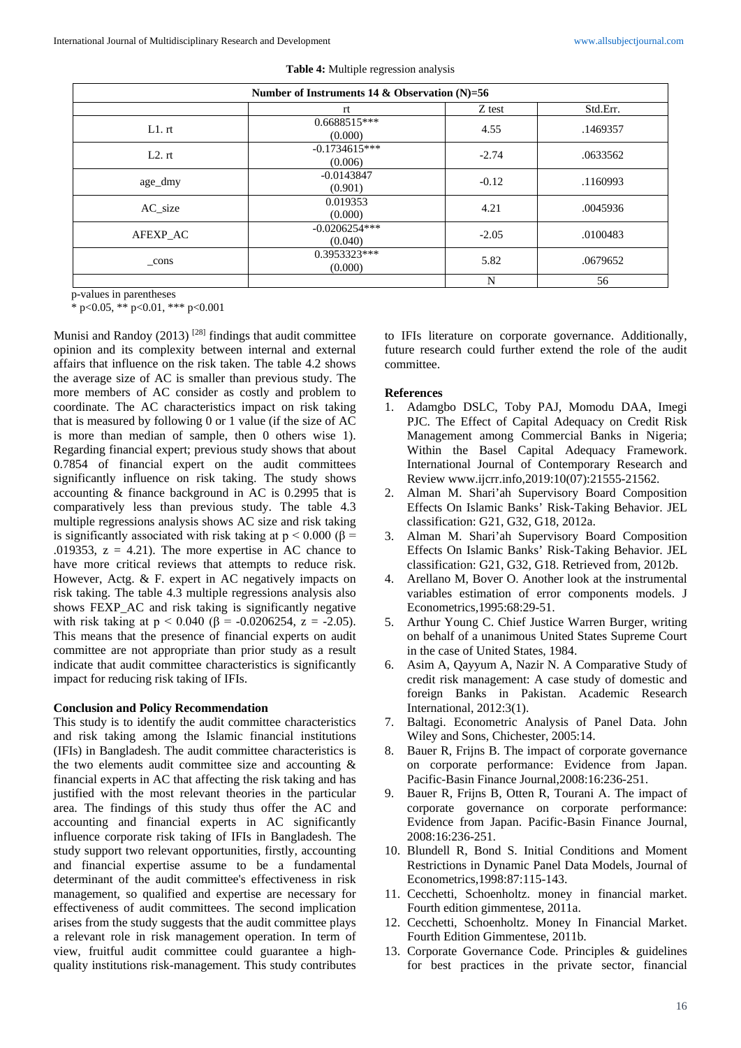| Number of Instruments 14 & Observation (N)=56 |                            |         |          |  |  |
|-----------------------------------------------|----------------------------|---------|----------|--|--|
|                                               | rt                         | Z test  | Std.Err. |  |  |
| L1.rt                                         | $0.6688515***$<br>(0.000)  | 4.55    | .1469357 |  |  |
| L2.rt                                         | $-0.1734615***$<br>(0.006) | $-2.74$ | .0633562 |  |  |
| age_dmy                                       | $-0.0143847$<br>(0.901)    | $-0.12$ | .1160993 |  |  |
| AC size                                       | 0.019353<br>(0.000)        | 4.21    | .0045936 |  |  |
| AFEXP_AC                                      | $-0.0206254***$<br>(0.040) | $-2.05$ | .0100483 |  |  |
| _cons                                         | 0.3953323***<br>(0.000)    | 5.82    | .0679652 |  |  |
|                                               |                            | N       | 56       |  |  |

**Table 4:** Multiple regression analysis

p-values in parentheses

\* p<0.05, \*\* p<0.01, \*\*\* p<0.001

Munisi and Randoy  $(2013)$ <sup>[28]</sup> findings that audit committee opinion and its complexity between internal and external affairs that influence on the risk taken. The table 4.2 shows the average size of AC is smaller than previous study. The more members of AC consider as costly and problem to coordinate. The AC characteristics impact on risk taking that is measured by following 0 or 1 value (if the size of AC is more than median of sample, then 0 others wise 1). Regarding financial expert; previous study shows that about 0.7854 of financial expert on the audit committees significantly influence on risk taking. The study shows accounting & finance background in AC is 0.2995 that is comparatively less than previous study. The table 4.3 multiple regressions analysis shows AC size and risk taking is significantly associated with risk taking at  $p < 0.000$  ( $\beta$  = .019353,  $z = 4.21$ ). The more expertise in AC chance to have more critical reviews that attempts to reduce risk. However, Actg. & F. expert in AC negatively impacts on risk taking. The table 4.3 multiple regressions analysis also shows FEXP AC and risk taking is significantly negative with risk taking at  $p < 0.040$  ( $\beta = -0.0206254$ ,  $z = -2.05$ ). This means that the presence of financial experts on audit committee are not appropriate than prior study as a result indicate that audit committee characteristics is significantly impact for reducing risk taking of IFIs.

## **Conclusion and Policy Recommendation**

This study is to identify the audit committee characteristics and risk taking among the Islamic financial institutions (IFIs) in Bangladesh. The audit committee characteristics is the two elements audit committee size and accounting & financial experts in AC that affecting the risk taking and has justified with the most relevant theories in the particular area. The findings of this study thus offer the AC and accounting and financial experts in AC significantly influence corporate risk taking of IFIs in Bangladesh. The study support two relevant opportunities, firstly, accounting and financial expertise assume to be a fundamental determinant of the audit committee's effectiveness in risk management, so qualified and expertise are necessary for effectiveness of audit committees. The second implication arises from the study suggests that the audit committee plays a relevant role in risk management operation. In term of view, fruitful audit committee could guarantee a highquality institutions risk-management. This study contributes

to IFIs literature on corporate governance. Additionally, future research could further extend the role of the audit committee.

#### **References**

- 1. Adamgbo DSLC, Toby PAJ, Momodu DAA, Imegi PJC. The Effect of Capital Adequacy on Credit Risk Management among Commercial Banks in Nigeria; Within the Basel Capital Adequacy Framework. International Journal of Contemporary Research and Review www.ijcrr.info,2019:10(07):21555-21562.
- 2. Alman M. Shari'ah Supervisory Board Composition Effects On Islamic Banks' Risk-Taking Behavior. JEL classification: G21, G32, G18, 2012a.
- 3. Alman M. Shari'ah Supervisory Board Composition Effects On Islamic Banks' Risk-Taking Behavior. JEL classification: G21, G32, G18. Retrieved from, 2012b.
- 4. Arellano M, Bover O. Another look at the instrumental variables estimation of error components models. J Econometrics,1995:68:29-51.
- 5. Arthur Young C. Chief Justice Warren Burger, writing on behalf of a unanimous United States Supreme Court in the case of United States, 1984.
- 6. Asim A, Qayyum A, Nazir N. A Comparative Study of credit risk management: A case study of domestic and foreign Banks in Pakistan. Academic Research International, 2012:3(1).
- 7. Baltagi. Econometric Analysis of Panel Data. John Wiley and Sons, Chichester, 2005:14.
- 8. Bauer R, Frijns B. The impact of corporate governance on corporate performance: Evidence from Japan. Pacific-Basin Finance Journal,2008:16:236-251.
- 9. Bauer R, Frijns B, Otten R, Tourani A. The impact of corporate governance on corporate performance: Evidence from Japan. Pacific-Basin Finance Journal, 2008:16:236-251.
- 10. Blundell R, Bond S. Initial Conditions and Moment Restrictions in Dynamic Panel Data Models, Journal of Econometrics,1998:87:115-143.
- 11. Cecchetti, Schoenholtz. money in financial market. Fourth edition gimmentese, 2011a.
- 12. Cecchetti, Schoenholtz. Money In Financial Market. Fourth Edition Gimmentese, 2011b.
- 13. Corporate Governance Code. Principles & guidelines for best practices in the private sector, financial